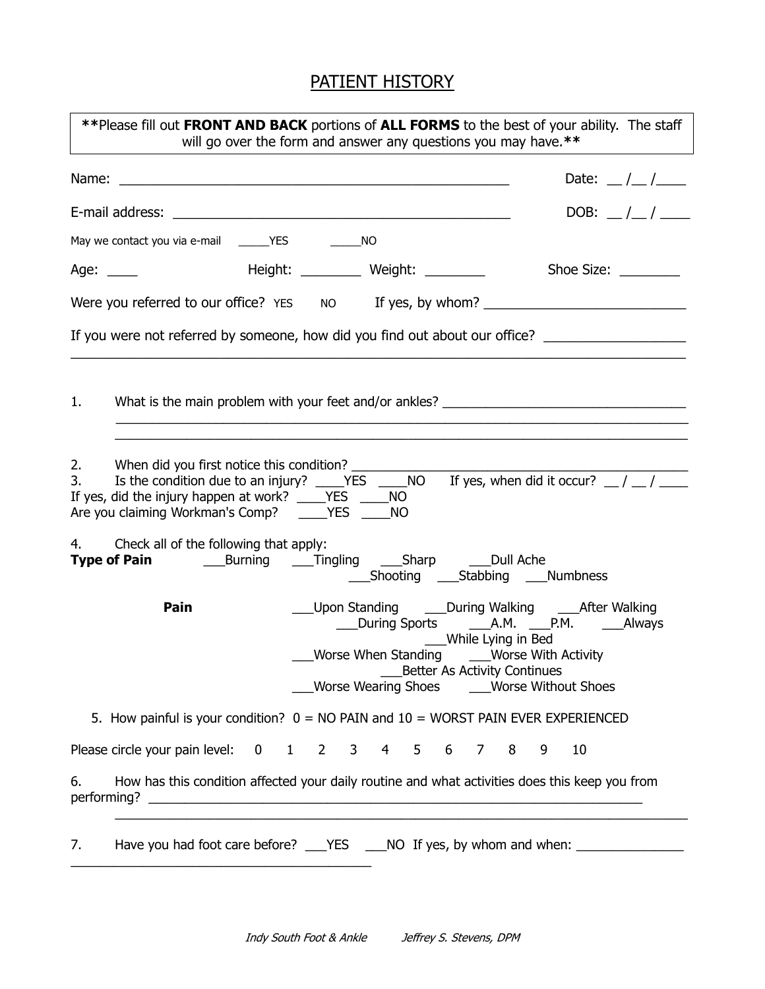# PATIENT HISTORY

| **Please fill out FRONT AND BACK portions of ALL FORMS to the best of your ability. The staff<br>will go over the form and answer any questions you may have.**                                                                                                                        |  |  |  |  |
|----------------------------------------------------------------------------------------------------------------------------------------------------------------------------------------------------------------------------------------------------------------------------------------|--|--|--|--|
| Date: $\frac{1}{2}$ /                                                                                                                                                                                                                                                                  |  |  |  |  |
| DOB: $\frac{1}{1}$                                                                                                                                                                                                                                                                     |  |  |  |  |
|                                                                                                                                                                                                                                                                                        |  |  |  |  |
| Height: ___________ Weight: ___________ Shoe Size: _________<br>Age: $\_\_$                                                                                                                                                                                                            |  |  |  |  |
| Were you referred to our office? YES NO If yes, by whom? _______________________                                                                                                                                                                                                       |  |  |  |  |
| If you were not referred by someone, how did you find out about our office? _______________________                                                                                                                                                                                    |  |  |  |  |
| What is the main problem with your feet and/or ankles? __________________________<br>1.                                                                                                                                                                                                |  |  |  |  |
| 2.<br>When did you first notice this condition? ______________<br>3.<br>If yes, did the injury happen at work? ____YES ____NO                                                                                                                                                          |  |  |  |  |
| 4. Check all of the following that apply:                                                                                                                                                                                                                                              |  |  |  |  |
| ___Upon Standing _____During Walking _____After Walking<br>Pain<br>___During Sports _______A.M. _____P.M. _______Always<br>____While Lying in Bed<br>Worse When Standing _____Worse With Activity<br>_____Better As Activity Continues<br>Worse Wearing Shoes _____Worse Without Shoes |  |  |  |  |
| 5. How painful is your condition? $0 = NO$ PAIN and $10 = WORST$ PAIN EVER EXPERIENCED                                                                                                                                                                                                 |  |  |  |  |
| Please circle your pain level: 0 1 2 3 4 5 6 7 8<br>9<br>10                                                                                                                                                                                                                            |  |  |  |  |
| How has this condition affected your daily routine and what activities does this keep you from<br>6.                                                                                                                                                                                   |  |  |  |  |
| Have you had foot care before? ___YES ____NO If yes, by whom and when: __________<br>7.                                                                                                                                                                                                |  |  |  |  |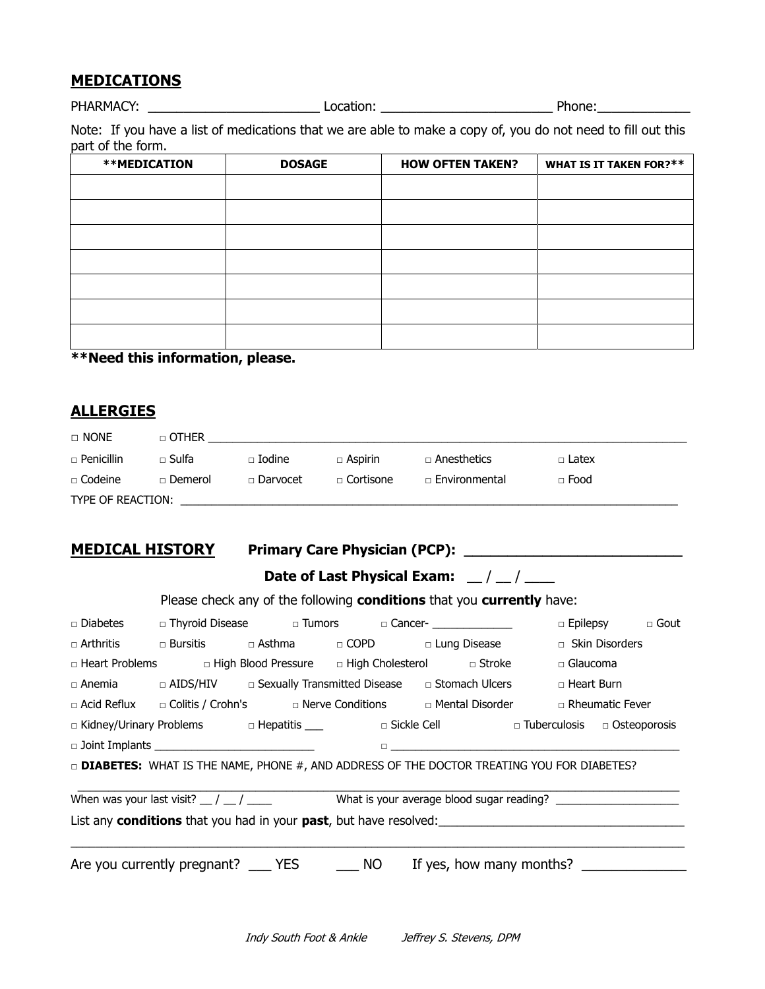## **MEDICATIONS**

PHARMACY: \_\_\_\_\_\_\_\_\_\_\_\_\_\_\_\_\_\_\_\_\_\_\_\_\_\_\_\_\_\_\_\_Location: \_\_\_\_\_\_\_\_\_\_\_\_\_\_\_\_\_\_\_\_\_\_\_\_\_\_\_\_\_\_ Phone: \_\_\_\_\_\_\_\_\_\_\_\_\_\_\_\_\_\_\_

Note: If you have a list of medications that we are able to make a copy of, you do not need to fill out this part of the form.

| <b>**MEDICATION</b> | <b>DOSAGE</b> | <b>HOW OFTEN TAKEN?</b> | <b>WHAT IS IT TAKEN FOR?**</b> |
|---------------------|---------------|-------------------------|--------------------------------|
|                     |               |                         |                                |
|                     |               |                         |                                |
|                     |               |                         |                                |
|                     |               |                         |                                |
|                     |               |                         |                                |
|                     |               |                         |                                |
|                     |               |                         |                                |

**\*\*Need this information, please.**

## **ALLERGIES**

| $\Box$ None       | $\Box$ OTHER     |               |                    |                      |              |
|-------------------|------------------|---------------|--------------------|----------------------|--------------|
| $\Box$ Penicillin | □ Sulfa          | $\Box$ Iodine | $\Box$ Aspirin     | $\Box$ Anesthetics   | $\Box$ Latex |
| $\Box$ Codeine    | $\sqcap$ Demerol | □ Darvocet    | $\sqcap$ Cortisone | $\Box$ Environmental | $\Box$ Food  |
| TYPE OF REACTION: |                  |               |                    |                      |              |

# **MEDICAL HISTORY Primary Care Physician (PCP): \_\_\_\_\_\_\_\_\_\_\_\_\_\_\_\_\_\_\_\_\_\_\_\_\_**

| <b>Date of Last Physical Exam:</b> |  |  |
|------------------------------------|--|--|

|  | Please check any of the following conditions that you currently have: |
|--|-----------------------------------------------------------------------|
|--|-----------------------------------------------------------------------|

|                                                                                                   |  |  |  | □ Diabetes □ Thyroid Disease □ Tumors □ Cancer- _____________                                                                                                                                                                   |                 | $\Box$ Epilepsy $\Box$ Gout |
|---------------------------------------------------------------------------------------------------|--|--|--|---------------------------------------------------------------------------------------------------------------------------------------------------------------------------------------------------------------------------------|-----------------|-----------------------------|
|                                                                                                   |  |  |  | □ Arthritis    □ Bursitis     □ Asthma     □ COPD      □ Lung Disease                                                                                                                                                           |                 | $\Box$ Skin Disorders       |
|                                                                                                   |  |  |  | □ Heart Problems     □ High Blood Pressure   □ High Cholesterol     □ Stroke                                                                                                                                                    | $\Box$ Glaucoma |                             |
|                                                                                                   |  |  |  | $\Box$ Anemia $\Box$ AIDS/HIV $\Box$ Sexually Transmitted Disease $\Box$ Stomach Ulcers                                                                                                                                         | □ Heart Burn    |                             |
|                                                                                                   |  |  |  | □ Acid Reflux   □ Colitis / Crohn's     □ Nerve Conditions     □ Mental Disorder     □ Rheumatic Fever                                                                                                                          |                 |                             |
|                                                                                                   |  |  |  | □ Kidney/Urinary Problems     □ Hepatitis ____      □ Sickle Cell        □ Tuberculosis   □ Osteoporosis                                                                                                                        |                 |                             |
|                                                                                                   |  |  |  | $\Box$ . The contract of the contract of the contract of the contract of the contract of the contract of the contract of the contract of the contract of the contract of the contract of the contract of the contract of the co |                 |                             |
| DIABETES: WHAT IS THE NAME, PHONE #, AND ADDRESS OF THE DOCTOR TREATING YOU FOR DIABETES?         |  |  |  |                                                                                                                                                                                                                                 |                 |                             |
| When was your last visit? $\frac{1}{2}$ / $\frac{1}{2}$ What is your average blood sugar reading? |  |  |  |                                                                                                                                                                                                                                 |                 |                             |
|                                                                                                   |  |  |  | Are you currently pregnant? ______ YES ____________ NO ______If yes, how many months?                                                                                                                                           |                 |                             |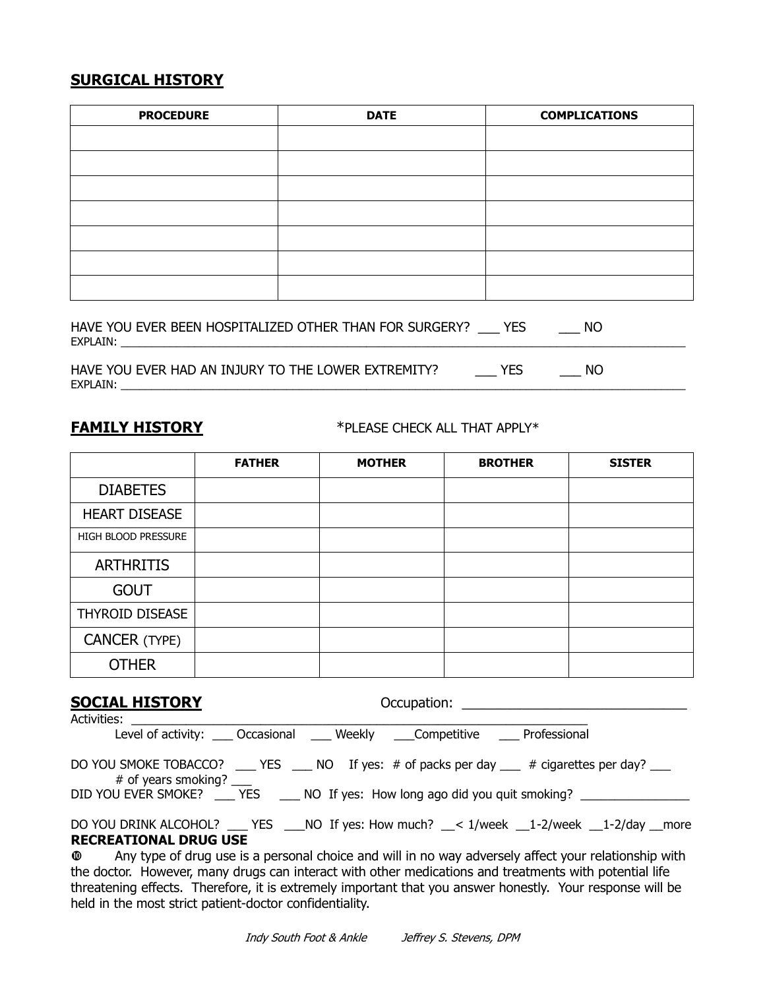# **SURGICAL HISTORY**

| <b>PROCEDURE</b> | <b>DATE</b> | <b>COMPLICATIONS</b> |
|------------------|-------------|----------------------|
|                  |             |                      |
|                  |             |                      |
|                  |             |                      |
|                  |             |                      |
|                  |             |                      |
|                  |             |                      |
|                  |             |                      |
|                  |             |                      |

|                | HAVE YOU EVER BEEN HOSPITALIZED OTHER THAN FOR SURGERY? | NC. |  |
|----------------|---------------------------------------------------------|-----|--|
| <b>EXPLAIN</b> |                                                         |     |  |
|                |                                                         |     |  |

HAVE YOU EVER HAD AN INJURY TO THE LOWER EXTREMITY? \_\_\_\_\_\_ YES \_\_\_\_\_\_ NO EXPLAIN: \_\_\_\_\_\_\_\_\_\_\_\_\_\_\_\_\_\_\_\_\_\_\_\_\_\_\_\_\_\_\_\_\_\_\_\_\_\_\_\_\_\_\_\_\_\_\_\_\_\_\_\_\_\_\_\_\_\_\_\_\_\_\_\_\_\_\_\_\_\_\_\_\_\_\_\_\_\_\_\_\_\_\_\_\_\_\_\_\_\_\_\_

**FAMILY HISTORY** \*PLEASE CHECK ALL THAT APPLY\*

|                      | <b>FATHER</b> | <b>MOTHER</b> | <b>BROTHER</b> | <b>SISTER</b> |
|----------------------|---------------|---------------|----------------|---------------|
| <b>DIABETES</b>      |               |               |                |               |
| <b>HEART DISEASE</b> |               |               |                |               |
| HIGH BLOOD PRESSURE  |               |               |                |               |
| <b>ARTHRITIS</b>     |               |               |                |               |
| <b>GOUT</b>          |               |               |                |               |
| THYROID DISEASE      |               |               |                |               |
| <b>CANCER (TYPE)</b> |               |               |                |               |
| <b>OTHER</b>         |               |               |                |               |

| <b>SOCIAL HISTORY</b>        |                                                                                                                        |
|------------------------------|------------------------------------------------------------------------------------------------------------------------|
| Activities: Activities       | Level of activity: ____ Occasional _____ Weekly _____ Competitive ______ Professional                                  |
|                              |                                                                                                                        |
|                              | DO YOU SMOKE TOBACCO? ____ YES ____ NO If yes: # of packs per day ___ # cigarettes per day? ___<br># of years smoking? |
|                              | DID YOU EVER SMOKE? _____ YES ______ NO If yes: How long ago did you quit smoking?                                     |
|                              | DO YOU DRINK ALCOHOL? ___ YES ___ NO If yes: How much? __< 1/week __1-2/week __1-2/day __ more                         |
| <b>RECREATIONAL DRUG USE</b> |                                                                                                                        |
|                              | $\Phi$ Any type of drug use is a personal choice and will in no way adversely affect your relationship with            |

 Any type of drug use is a personal choice and will in no way adversely affect your relationship with the doctor. However, many drugs can interact with other medications and treatments with potential life threatening effects. Therefore, it is extremely important that you answer honestly. Your response will be held in the most strict patient-doctor confidentiality.